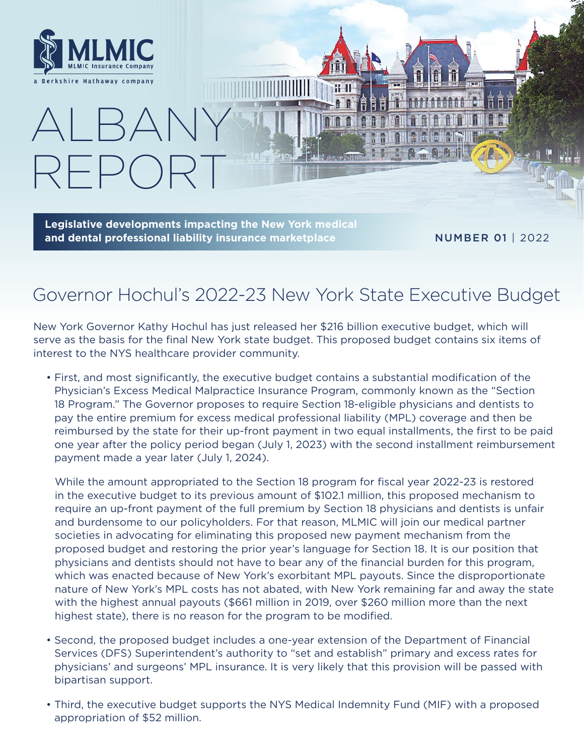

 $RFD()$ 

ALBANY

**Legislative developments impacting the New York medical and dental professional liability insurance marketplace**

NUMBER 01 | 2022

# Governor Hochul's 2022-23 New York State Executive Budget

**PIDAIS** 

New York Governor Kathy Hochul has just released her \$216 billion executive budget, which will serve as the basis for the final New York state budget. This proposed budget contains six items of interest to the NYS healthcare provider community.

• First, and most significantly, the executive budget contains a substantial modification of the Physician's Excess Medical Malpractice Insurance Program, commonly known as the "Section 18 Program." The Governor proposes to require Section 18-eligible physicians and dentists to pay the entire premium for excess medical professional liability (MPL) coverage and then be reimbursed by the state for their up-front payment in two equal installments, the first to be paid one year after the policy period began (July 1, 2023) with the second installment reimbursement payment made a year later (July 1, 2024).

While the amount appropriated to the Section 18 program for fiscal year 2022-23 is restored in the executive budget to its previous amount of \$102.1 million, this proposed mechanism to require an up-front payment of the full premium by Section 18 physicians and dentists is unfair and burdensome to our policyholders. For that reason, MLMIC will join our medical partner societies in advocating for eliminating this proposed new payment mechanism from the proposed budget and restoring the prior year's language for Section 18. It is our position that physicians and dentists should not have to bear any of the financial burden for this program, which was enacted because of New York's exorbitant MPL payouts. Since the disproportionate nature of New York's MPL costs has not abated, with New York remaining far and away the state with the highest annual payouts (\$661 million in 2019, over \$260 million more than the next highest state), there is no reason for the program to be modified.

- Second, the proposed budget includes a one-year extension of the Department of Financial Services (DFS) Superintendent's authority to "set and establish" primary and excess rates for physicians' and surgeons' MPL insurance. It is very likely that this provision will be passed with bipartisan support.
- Third, the executive budget supports the NYS Medical Indemnity Fund (MIF) with a proposed appropriation of \$52 million.